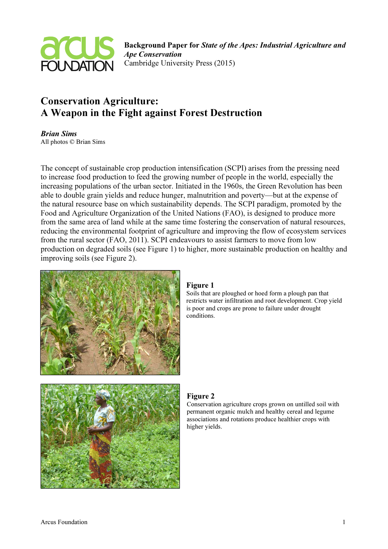

Background Paper for State of the Apes: Industrial Agriculture and Ape Conservation Cambridge University Press (2015)

# Conservation Agriculture: A Weapon in the Fight against Forest Destruction

Brian Sims All photos © Brian Sims

The concept of sustainable crop production intensification (SCPI) arises from the pressing need to increase food production to feed the growing number of people in the world, especially the increasing populations of the urban sector. Initiated in the 1960s, the Green Revolution has been able to double grain yields and reduce hunger, malnutrition and poverty—but at the expense of the natural resource base on which sustainability depends. The SCPI paradigm, promoted by the Food and Agriculture Organization of the United Nations (FAO), is designed to produce more from the same area of land while at the same time fostering the conservation of natural resources, reducing the environmental footprint of agriculture and improving the flow of ecosystem services from the rural sector (FAO, 2011). SCPI endeavours to assist farmers to move from low production on degraded soils (see Figure 1) to higher, more sustainable production on healthy and improving soils (see Figure 2).



#### Figure 1

Soils that are ploughed or hoed form a plough pan that restricts water infiltration and root development. Crop yield is poor and crops are prone to failure under drought conditions.



#### Figure 2

Conservation agriculture crops grown on untilled soil with permanent organic mulch and healthy cereal and legume associations and rotations produce healthier crops with higher yields.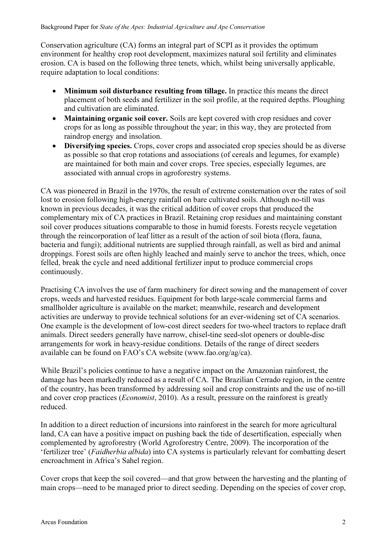Conservation agriculture (CA) forms an integral part of SCPI as it provides the optimum environment for healthy crop root development, maximizes natural soil fertility and eliminates erosion. CA is based on the following three tenets, which, whilst being universally applicable, require adaptation to local conditions:

- Minimum soil disturbance resulting from tillage. In practice this means the direct placement of both seeds and fertilizer in the soil profile, at the required depths. Ploughing and cultivation are eliminated.
- Maintaining organic soil cover. Soils are kept covered with crop residues and cover crops for as long as possible throughout the year; in this way, they are protected from raindrop energy and insolation.
- Diversifying species. Crops, cover crops and associated crop species should be as diverse as possible so that crop rotations and associations (of cereals and legumes, for example) are maintained for both main and cover crops. Tree species, especially legumes, are associated with annual crops in agroforestry systems.

CA was pioneered in Brazil in the 1970s, the result of extreme consternation over the rates of soil lost to erosion following high-energy rainfall on bare cultivated soils. Although no-till was known in previous decades, it was the critical addition of cover crops that produced the complementary mix of CA practices in Brazil. Retaining crop residues and maintaining constant soil cover produces situations comparable to those in humid forests. Forests recycle vegetation through the reincorporation of leaf litter as a result of the action of soil biota (flora, fauna, bacteria and fungi); additional nutrients are supplied through rainfall, as well as bird and animal droppings. Forest soils are often highly leached and mainly serve to anchor the trees, which, once felled, break the cycle and need additional fertilizer input to produce commercial crops continuously.

Practising CA involves the use of farm machinery for direct sowing and the management of cover crops, weeds and harvested residues. Equipment for both large-scale commercial farms and smallholder agriculture is available on the market; meanwhile, research and development activities are underway to provide technical solutions for an ever-widening set of CA scenarios. One example is the development of low-cost direct seeders for two-wheel tractors to replace draft animals. Direct seeders generally have narrow, chisel-tine seed-slot openers or double-disc arrangements for work in heavy-residue conditions. Details of the range of direct seeders available can be found on FAO's CA website (www.fao.org/ag/ca).

While Brazil's policies continue to have a negative impact on the Amazonian rainforest, the damage has been markedly reduced as a result of CA. The Brazilian Cerrado region, in the centre of the country, has been transformed by addressing soil and crop constraints and the use of no-till and cover crop practices (Economist, 2010). As a result, pressure on the rainforest is greatly reduced.

In addition to a direct reduction of incursions into rainforest in the search for more agricultural land, CA can have a positive impact on pushing back the tide of desertification, especially when complemented by agroforestry (World Agroforestry Centre, 2009). The incorporation of the 'fertilizer tree' (Faidherbia albida) into CA systems is particularly relevant for combatting desert encroachment in Africa's Sahel region.

Cover crops that keep the soil covered—and that grow between the harvesting and the planting of main crops—need to be managed prior to direct seeding. Depending on the species of cover crop,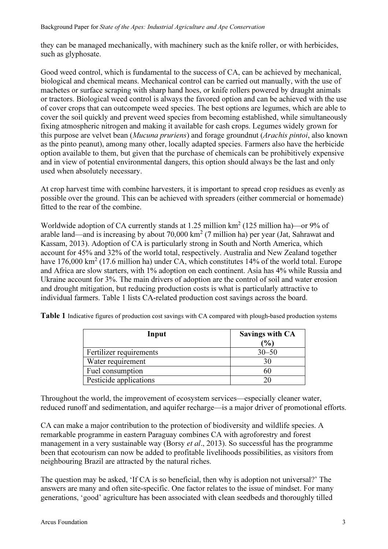they can be managed mechanically, with machinery such as the knife roller, or with herbicides, such as glyphosate.

Good weed control, which is fundamental to the success of CA, can be achieved by mechanical, biological and chemical means. Mechanical control can be carried out manually, with the use of machetes or surface scraping with sharp hand hoes, or knife rollers powered by draught animals or tractors. Biological weed control is always the favored option and can be achieved with the use of cover crops that can outcompete weed species. The best options are legumes, which are able to cover the soil quickly and prevent weed species from becoming established, while simultaneously fixing atmospheric nitrogen and making it available for cash crops. Legumes widely grown for this purpose are velvet bean *(Mucuna pruriens)* and forage groundnut *(Arachis pintoi*, also known as the pinto peanut), among many other, locally adapted species. Farmers also have the herbicide option available to them, but given that the purchase of chemicals can be prohibitively expensive and in view of potential environmental dangers, this option should always be the last and only used when absolutely necessary.

At crop harvest time with combine harvesters, it is important to spread crop residues as evenly as possible over the ground. This can be achieved with spreaders (either commercial or homemade) fitted to the rear of the combine.

Worldwide adoption of CA currently stands at 1.25 million km<sup>2</sup> (125 million ha)—or 9% of arable land—and is increasing by about  $70,000 \text{ km}^2$  (7 million ha) per year (Jat, Sahrawat and Kassam, 2013). Adoption of CA is particularly strong in South and North America, which account for 45% and 32% of the world total, respectively. Australia and New Zealand together have  $176,000 \text{ km}^2$  (17.6 million ha) under CA, which constitutes 14% of the world total. Europe and Africa are slow starters, with 1% adoption on each continent. Asia has 4% while Russia and Ukraine account for 3%. The main drivers of adoption are the control of soil and water erosion and drought mitigation, but reducing production costs is what is particularly attractive to individual farmers. Table 1 lists CA-related production cost savings across the board.

Table 1 Indicative figures of production cost savings with CA compared with plough-based production systems

| Input                   | <b>Savings with CA</b><br>(%) |
|-------------------------|-------------------------------|
| Fertilizer requirements | $30 - 50$                     |
| Water requirement       | 30                            |
| Fuel consumption        | 60                            |
| Pesticide applications  | 20                            |

Throughout the world, the improvement of ecosystem services—especially cleaner water, reduced runoff and sedimentation, and aquifer recharge—is a major driver of promotional efforts.

CA can make a major contribution to the protection of biodiversity and wildlife species. A remarkable programme in eastern Paraguay combines CA with agroforestry and forest management in a very sustainable way (Borsy *et al.*, 2013). So successful has the programme been that ecotourism can now be added to profitable livelihoods possibilities, as visitors from neighbouring Brazil are attracted by the natural riches.

The question may be asked, 'If CA is so beneficial, then why is adoption not universal?' The answers are many and often site-specific. One factor relates to the issue of mindset. For many generations, 'good' agriculture has been associated with clean seedbeds and thoroughly tilled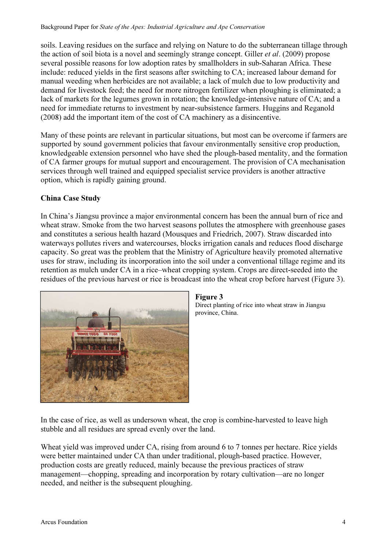soils. Leaving residues on the surface and relying on Nature to do the subterranean tillage through the action of soil biota is a novel and seemingly strange concept. Giller et al. (2009) propose several possible reasons for low adoption rates by smallholders in sub-Saharan Africa. These include: reduced yields in the first seasons after switching to CA; increased labour demand for manual weeding when herbicides are not available; a lack of mulch due to low productivity and demand for livestock feed; the need for more nitrogen fertilizer when ploughing is eliminated; a lack of markets for the legumes grown in rotation; the knowledge-intensive nature of CA; and a need for immediate returns to investment by near-subsistence farmers. Huggins and Reganold (2008) add the important item of the cost of CA machinery as a disincentive.

Many of these points are relevant in particular situations, but most can be overcome if farmers are supported by sound government policies that favour environmentally sensitive crop production, knowledgeable extension personnel who have shed the plough-based mentality, and the formation of CA farmer groups for mutual support and encouragement. The provision of CA mechanisation services through well trained and equipped specialist service providers is another attractive option, which is rapidly gaining ground.

## China Case Study

In China's Jiangsu province a major environmental concern has been the annual burn of rice and wheat straw. Smoke from the two harvest seasons pollutes the atmosphere with greenhouse gases and constitutes a serious health hazard (Mousques and Friedrich, 2007). Straw discarded into waterways pollutes rivers and watercourses, blocks irrigation canals and reduces flood discharge capacity. So great was the problem that the Ministry of Agriculture heavily promoted alternative uses for straw, including its incorporation into the soil under a conventional tillage regime and its retention as mulch under CA in a rice–wheat cropping system. Crops are direct-seeded into the residues of the previous harvest or rice is broadcast into the wheat crop before harvest (Figure 3).



#### Figure 3

Direct planting of rice into wheat straw in Jiangsu province, China.

In the case of rice, as well as undersown wheat, the crop is combine-harvested to leave high stubble and all residues are spread evenly over the land.

Wheat yield was improved under CA, rising from around 6 to 7 tonnes per hectare. Rice yields were better maintained under CA than under traditional, plough-based practice. However, production costs are greatly reduced, mainly because the previous practices of straw management—chopping, spreading and incorporation by rotary cultivation—are no longer needed, and neither is the subsequent ploughing.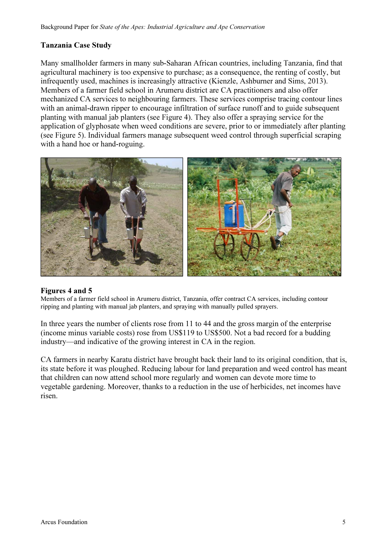## Tanzania Case Study

Many smallholder farmers in many sub-Saharan African countries, including Tanzania, find that agricultural machinery is too expensive to purchase; as a consequence, the renting of costly, but infrequently used, machines is increasingly attractive (Kienzle, Ashburner and Sims, 2013). Members of a farmer field school in Arumeru district are CA practitioners and also offer mechanized CA services to neighbouring farmers. These services comprise tracing contour lines with an animal-drawn ripper to encourage infiltration of surface runoff and to guide subsequent planting with manual jab planters (see Figure 4). They also offer a spraying service for the application of glyphosate when weed conditions are severe, prior to or immediately after planting (see Figure 5). Individual farmers manage subsequent weed control through superficial scraping with a hand hoe or hand-roguing.



#### Figures 4 and 5

Members of a farmer field school in Arumeru district, Tanzania, offer contract CA services, including contour ripping and planting with manual jab planters, and spraying with manually pulled sprayers.

In three years the number of clients rose from 11 to 44 and the gross margin of the enterprise (income minus variable costs) rose from US\$119 to US\$500. Not a bad record for a budding industry—and indicative of the growing interest in CA in the region.

CA farmers in nearby Karatu district have brought back their land to its original condition, that is, its state before it was ploughed. Reducing labour for land preparation and weed control has meant that children can now attend school more regularly and women can devote more time to vegetable gardening. Moreover, thanks to a reduction in the use of herbicides, net incomes have risen.